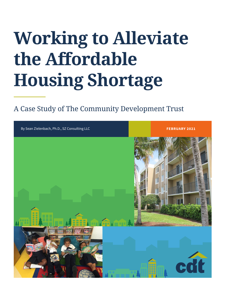# **Working to Alleviate the Affordable Housing Shortage**

## A Case Study of The Community Development Trust

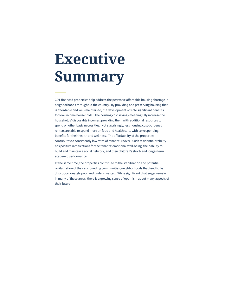# **Executive Summary**

CDT-financed properties help address the pervasive affordable housing shortage in neighborhoods throughout the country. By providing and preserving housing that is affordable and well-maintained, the developments create significant benefits for low-income households. The housing cost savings meaningfully increase the households' disposable incomes, providing them with additional resources to spend on other basic necessities. Not surprisingly, less housing cost-burdened renters are able to spend more on food and health care, with corresponding benefits for their health and wellness. The affordability of the properties contributes to consistently low rates of tenant turnover. Such residential stability has positive ramifications for the tenants' emotional well-being, their ability to build and maintain a social network, and their children's short- and longer-term academic performance.

At the same time, the properties contribute to the stabilization and potential revitalization of their surrounding communities, neighborhoods that tend to be disproportionately poor and under-invested. While significant challenges remain in many of these areas, there is a growing sense of optimism about many aspects of their future.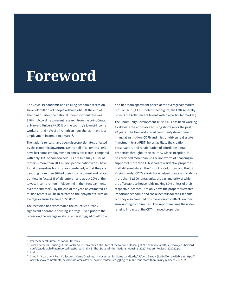# **Foreword**

The Covid-19 pandemic and ensuing economic recession have left millions of people without jobs. At the end of the third quarter, the national unemployment rate was 8.9%<sup>1</sup>. According to recent research from the Joint Center at Harvard University, 52% of the country's lowest-income workers – and 41% of all American households – have lost employment income since March<sup>2</sup>.

The nation's renters have been disproportionately affected by the economic downturn. Nearly half of all renters (49%) have lost some employment income since March, compared with only 36% of homeowners. As a result, fully 46.3% of renters – more than 20.4 million people nationwide – have found themselves housing cost-burdened, in that they are devoting more than 30% of their income to rent and related utilities. In fact, 15% of all renters – and about 20% of the lowest-income renters – fell behind in their rent payments over the summer<sup>3</sup>. By the end of the year, an estimated 12 million renters will be in arrears on their payments, with an average overdue balance of \$5,850<sup>4</sup>.

The recession has exacerbated the country's already significant affordable housing shortage. Even prior to the recession, the average working renter struggled to afford a one-bedroom apartment priced at the average fair market rent, or FMR. (A HUD-determined figure, the FMR generally reflects the 40th percentile rent within a particular market.)

The Community Development Trust (CDT) has been working to alleviate the affordable housing shortage for the past 22 years. The New York-based community development financial institution (CDFI) and mission-driven real estate investment trust (REIT) helps facilitate the creation, preservation, and rehabilitation of affordable rental properties throughout the country. Since inception, it has provided more than \$2.4 billion worth of financing in support of more than 456 separate residential properties in 42 different states, the District of Columbia, and the US Virgin Islands. CDT's efforts have helped create and stabilize more than 51,300 rental units, the vast majority of which are affordable to households making 80% or less of their respective incomes. Not only have the properties created important economic and social benefits for their tenants, but they also have had positive economic effects on their surrounding communities. This report analyzes the wideranging impacts of the CDT-financed properties.

<sup>1</sup> Per the federal Bureau of Labor Statistics.

<sup>2</sup> Joint Center for Housing Studies of Harvard University, "The State of the Nation's Housing 2020," available at https://www.jchs.harvard. edu/sites/default/files/reports/files/Harvard\_JCHS\_The\_State\_of\_the\_Nations\_Housing\_2020\_Report\_Revised\_120720.pdf

Ibid.

<sup>4</sup> Cited in "Apartment Rent Collections 'Came Crashing' in November for Some Landlords," *Atlanta Bisnow* (12/14/20), available at https:// www.bisnow.com/atlanta/news/multifamily/lower-income-renters-struggling-to-make-rent-more-than-luxury-residents-107074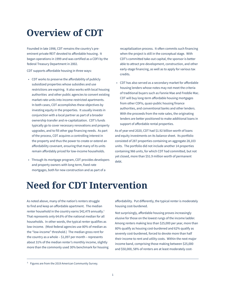# **Overview of CDT**

Founded in late 1998, CDT remains the country's preeminent private REIT devoted to affordable housing. It began operations in 1999 and was certified as a CDFI by the federal Treasury Department in 2002.

CDT supports affordable housing in three ways:

- CDT works to preserve the affordability of publicly subsidized properties whose subsidies and use restrictions are expiring. It also works with local housing authorities and other public agencies to convert existing market-rate units into income-restricted apartments. In both cases, CDT accomplishes these objectives by investing equity in the properties. It usually invests in conjunction with a local partner as part of a broader ownership transfer and re-capitalization. CDT's funds typically go to cover necessary renovations and property upgrades, and to fill other gap financing needs. As part of the process, CDT acquires a controlling interest in the property and thus the power to create or extend an affordability covenant, ensuring that many of its units remain affordably priced for low-income households.
- Through its mortgage program, CDT provides developers and property owners with long-term, fixed-rate mortgages, both for new construction and as part of a

recapitalization process. It often commits such financing when the project is still in the conceptual stage. With CDT's committed take-out capital, the sponsor is better able to attract pre-development, construction, and other early-stage financing, as well as to apply for various tax credits.

• CDT has also served as a secondary market for affordable housing lenders whose notes may not meet the criteria of traditional buyers such as Fannie Mae and Freddie Mac. CDT will buy long-term affordable housing mortgages from other CDFIs, quasi-public housing finance authorities, and conventional banks and other lenders. With the proceeds from the note sales, the originating lenders are better positioned to make additional loans in support of affordable rental properties.

As of year-end 2020, CDT had \$1.92 billion worth of loans and equity investments on its balance sheet. Its portfolio consisted of 287 properties containing an aggregate 28,103 units. The portfolio did not include another 14 properties containing 966 units, for which CDT had committed, but not yet closed, more than \$51.9 million worth of permanent debt.

## **Need for CDT Intervention**

As noted above, many of the nation's renters struggle to find and keep an affordable apartment. The median renter household in the country earns \$42,479 annually.<sup>1</sup> That represents only 64.6% of the national median for all households. In other words, the typical renter qualifies as low-income. (Most federal agencies use 80% of median as the "low-income" threshold.) The median gross rent for the country as a whole – \$1,097 per month – represents about 31% of the median renter's monthly income, slightly more than the commonly used 30% benchmark for housing affordability. Put differently, the typical renter is moderately housing cost-burdened.

Not surprisingly, affordable housing proves increasingly elusive for those on the lowest rungs of the income ladder. Among renters making less than \$25,000 per year, more than 80% qualify as housing cost-burdened and 62% qualify as severely cost-burdened, forced to devote more than half their income to rent and utility costs. Within the next major income band, comprising those making between \$25,000 and \$50,000, 58% of renters are at least moderately cost-

<sup>&</sup>lt;sup>5</sup> Figures are from the 2019 American Community Survey.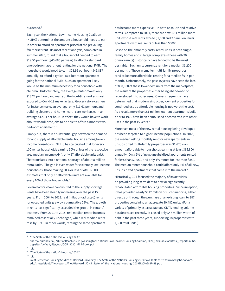### burdened.2

Each year, the National Low-Income Housing Coalition (NLIHC) determines the amount a household needs to earn in order to afford an apartment priced at the prevailing fair market rent. Its most recent analysis, completed in summer 2020, found that a household needed to earn \$19.56 per hour (\$40,685 per year) to afford a standard one-bedroom apartment renting for the national FMR. The household would need to earn \$23.96 per hour (\$49,837 annually) to afford a typical two-bedroom apartment going for the national FMR. Such an apartment likely would be the minimum necessary for a household with children. Unfortunately, the average renter makes only \$18.22 per hour, and many of the front-line workers most exposed to Covid-19 make far less. Grocery store cashiers, for instance make, an average, only \$11.61 per hour, and building cleaners and home health care workers earn an average \$12.94 per hour. In effect, they would have to work about two full-time jobs to be able to afford a modest twobedroom apartment.3

Simply put, there is a substantial gap between the demand for and supply of affordable rental housing among lowerincome households. NLIHC has calculated that for every 100 renter households earning 50% or less of the respective area median income (AMI), only 57 affordable units exist. That translates into a national shortage of about 8 million rental units. The gap is even wider for extremely low-income households, those making 30% or less of AMI. NLIHC estimates that only 37 affordable units are available for every 100 of those households.4

Several factors have contributed to the supply shortage. Rents have been steadily increasing over the past 15 years. From 2004 to 2019, real (inflation-adjusted) rents for occupied units grew by a cumulative 29%. The growth in rents has significantly exceeded the growth in renters' incomes. From 2001 to 2018, real median renter incomes remained essentially unchanged, while real median rents rose by 13%. In other words, renting the same apartment

has become more expensive – in both absolute and relative terms. Compared to 2004, there are now 10.4 million more units whose real rents exceed \$1,000 and 2.5 million fewer apartments with real rents of less than \$600.<sup>5</sup>

Based on their monthly costs, rental units in both singlefamily homes and in larger complexes (those with 20 or more units) historically have tended to be the most desirable. Such units currently rent for a median \$1,200 per month. Those in smaller multi-family properties tend to be more affordable, renting for a median \$975 per month. Unfortunately, the past 15 years have seen the loss of 850,000 of these lower-cost units from the marketplace, the result of the properties either being abandoned or redeveloped into other uses. Owners frequently have determined that modernizing older, low-rent properties for continued use as affordable housing is not worth the cost. As a result, more than 2.1 million low-rent apartments built prior to 1970 have been demolished or converted into other uses in the past 15 years.<sup>6</sup>

Moreover, most of the new rental housing being developed has been targeted to higher-income populations. In 2018, the median asking monthly rent for new apartments in unsubsidized multi-family properties was \$1,670 – an amount affordable to households earning at least \$66,800 annually. Only 9% of new, unsubsidized apartments rented for less than \$1,050, and only 4% rented for less than \$850. The median renter household could afford only 3% of all new, unsubsidized apartments that came into the market.<sup>7</sup>

Historically, CDT focused the majority of its activities on providing long-term debt to new or significantly rehabilitated affordable housing properties. Since inception, it has provided nearly \$812 million of such financing, either directly or through the purchase of an existing loan, to 387 properties containing an aggregate 30,482 units. (For a variety of primarily external factors, CDT's lending volume has decreased recently. It closed only \$46 million worth of debt in the past three years, supporting 18 properties with 1,300 total units.)

<sup>6</sup> "The State of the Nation's Housing 2020."

<sup>7</sup> Andrew Aurand et al, "Out of Reach 2020" (Washington: National Low-Income Housing Coalition, 2020); available at https://reports.nlihc. org/sites/default/files/oor/OOR\_2020\_Mini-Book.pdf

<sup>8</sup> Ibid.

<sup>&</sup>lt;sup>9</sup> "The State of the Nation's Housing 2020."

 $10$  Ibid.

<sup>11</sup> Joint Center for Housing Studies of Harvard University, The State of the Nation's Housing 2019," available at https://www.jchs.harvard. edu/sites/default/files/reports/files/Harvard\_JCHS\_State\_of\_the\_Nations\_Housing\_2019%20%281%29.pdf.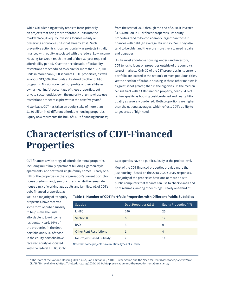While CDT's lending activity tends to focus primarily on projects that bring more affordable units into the marketplace, its equity investing focuses mainly on preserving affordable units that already exist. Such preventive action is critical, particularly as projects initially financed with equity associated with the federal Low Income Housing Tax Credit reach the end of their 30-year required affordability period. Over the next decade, affordability restrictions are scheduled to expire for more than 387,000 units in more than 6,900 separate LIHTC properties, as well as about 313,000 other units subsidized by other public programs. Mission-oriented nonprofits or their affiliates own a meaningful percentage of these properties, but private-sector entities own the majority of units whose use restrictions are set to expire within the next five years.<sup>8</sup>

Historically, CDT has taken an equity stake of more than \$1.36 billion in 69 different affordable housing properties. Equity now represents the bulk of CDT's financing business; from the start of 2018 through the end of 2020, it invested \$399.6 million in 18 different properties. Its equity properties tend to be considerably larger than those it finances with debt (an average 192 units v. 74). They also tend to be older and therefore more likely to need repairs and upgrades.

Unlike most affordable housing lenders and investors, CDT tends to focus on properties outside of the country's largest markets. Only 30 of the 287 properties in its current portfolio are located in the nation's 10 most populous cities. Yet the need for affordable housing in these other markets is as great, if not greater, than in the big cities. In the median census tract with a CDT-financed property, nearly 54% of renters qualify as housing cost-burdened and nearly 28% qualify as severely burdened. Both proportions are higher than the national averages, which reflects CDT's ability to target areas of high need.

# **Characteristics of CDT-Financed Properties**

CDT finances a wide range of affordable rental properties, including multifamily apartment buildings, garden-style apartments, and scattered single-family homes. Nearly onefifth of the properties in the organization's current portfolio house predominantly senior citizens, while the remainder house a mix of working-age adults and families. All of CDT's

13 properties have no public subsidy at the project level. Most of the CDT-financed properties provide more than just housing. Based on the 2018-2020 survey responses, a majority of the properties have one or more on-site public computers that tenants can use to check e-mail and print resumes, among other things. Nearly one-third of

debt-financed properties, as well as a majority of its equity properties, have received some form of public subsidy to help make the units affordable to low-income residents. Nearly 96% of the properties in the debt portfolio and 53% of those in the equity portfolio have received equity associated with the federal LIHTC. Only

## Subsidy Debt Properties (251) Equity Properties (47) LIHTC 240 25 Section 8 12  $\mathsf{R}\mathsf{A}\mathsf{D}$  and  $\mathsf{A}\mathsf{D}$  and  $\mathsf{A}\mathsf{D}$  and  $\mathsf{A}\mathsf{D}$  and  $\mathsf{A}\mathsf{D}$  and  $\mathsf{A}\mathsf{D}$  and  $\mathsf{A}\mathsf{D}$  and  $\mathsf{A}\mathsf{D}$  and  $\mathsf{A}\mathsf{D}$  and  $\mathsf{A}\mathsf{D}$  and  $\mathsf{A}\mathsf{D}$  and  $\mathsf{A}\mathsf{D}$  and Other Rent Restrictions 1 4 No Project-Based Subsidy 2 2 11

**Table 1: Number of CDT Portfolio Properties with Different Public Subsidies**

Note that some projects have multiple types of subsidy.

12 "The State of the Nation's Housing 2020"; also, Dan Emmanuel, "LIHTC Preservation and the Need for Rental Assistance," *Shelterforce* (11/18/20), available at https://shelterforce.org/2020/11/18/lihtc-preservation-and-the-need-for-rental-assistance/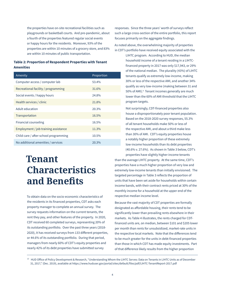the properties have on-site recreational facilities such as playgrounds or basketball courts. And pre-pandemic, about a fourth of the properties featured regular social events or happy hours for the residents. Moreover, 93% of the properties are within 10 minutes of a grocery store, and 83% are within 10 minutes of public transportation.

### **Table 2: Proportion of Respondent Properties with Tenant Amenities**

| Amenity                               | Proportion |
|---------------------------------------|------------|
| Computer access / computer lab        | 53.4%      |
| Recreational facility / programming   | 31.6%      |
| Social events / happy hours           | 24.8%      |
| Health services / clinic              | 21.8%      |
| Adult education                       | 20.3%      |
| Transportation                        | 16.5%      |
| Financial counseling                  | 16.5%      |
| Employment / job training assistance  | 11.3%      |
| Child care / after-school programming | 10.5%      |
| No additional amenities / services    | 20.3%      |

# **Tenant Characteristics and Benefits**

To obtain data on the socio-economic characteristics of the residents in its financed properties, CDT asks each property manager to complete an annual survey. The survey requests information on the current tenants, the rent they pay, and other features of the property. In 2020, CDT received 60 completed surveys, representing 20% of its outstanding portfolio. Over the past three years (2018- 2020), it has received surveys from 133 different properties, or 44.6% of its outstanding portfolio. During that period, managers from nearly 60% of CDT's equity properties and nearly 42% of its debt properties have submitted survey

responses. Since the three years' worth of surveys reflect such a large cross-section of the entire portfolio, this report focuses primarily on the aggregate findings.

As noted above, the overwhelming majority of properties in CDT's portfolio have received equity associated with the

> LIHTC program. According to HUD, the median household income of a tenant residing in a LIHTCfinanced property in 2017 was only \$17,943, or 29% of the national median. The plurality (43%) of LIHTC tenants qualify as extremely low-income, making 30% or less of the respective AMI, and another 34% qualify as very low-income (making between 31 and 50% of AMI).<sup>9</sup> Tenant incomes generally are much lower than the 60% of AMI threshold that the LIHTC program targets.

> Not surprisingly, CDT-financed properties also house a disproportionately poor tenant population. Based on the 2018-2020 survey responses, 55.3% of all tenant households make 50% or less of the respective AMI, and about a third make less than 30% of AMI. CDT's equity properties house a notably higher proportion of these extremely low-income households than its debt properties (40.6% v. 27.6%). As shown in Table 3 below, CDT's properties have slightly higher-income tenants

than the average LIHTC property. At the same time, CDT's properties have a much higher proportion of very low and extremely low-income tenants than initially envisioned. The targeted percentage in Table 3 reflects the proportion of units that have been set aside for households within certain income bands, with their contract rents priced at 30% of the monthly income for a household at the upper end of the respective median income level.

Because the vast majority of CDT properties are formally designated as affordable housing, their rents tend to be significantly lower than prevailing rents elsewhere in their markets. As Table 4 illustrates, the rents charged for CDTfinanced units are, on median, between \$101 and \$205 lower per month than rents for unsubsidized, market-rate units in the respective local markets. Note that the differences tend to be much greater for the units in debt-financed properties than those in which CDT has made equity investments. Part of that difference likely results from the higher proportion

<sup>13</sup> HUD Office of Policy Development & Research, "Understanding Whom the LIHTC Serves: Data on Tenants in LIHTC Units as of December 31, 2017," (Dec. 2019), available at https://www.huduser.gov/portal/sites/default/files/pdf/LIHTC-TenantReport-2017.pdf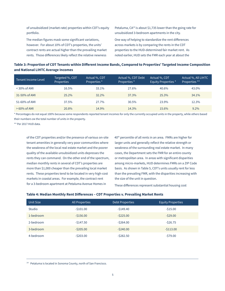of unsubsidized (market-rate) properties within CDT's equity portfolio.

The median figures mask some significant variations, however. For about 10% of CDT's properties, the units' contract rents are actual higher than the prevailing market rents. Those differences likely reflect the relative newness Petaluma, CA<sup>10</sup> is about \$1,735 lower than the going rate for unsubsidized 3-bedroom apartments in the city.

One way of helping to standardize the rent differences across markets is by comparing the rents in the CDT properties to the HUD-determined fair market rent. As noted earlier, HUD sets the FMR each year at about the

## **Table 3: Proportion of CDT Tenants within Different Income Bands, Compared to Properties' Targeted Income Composition and National LIHTC Average Incomes**

| Tenant Income Level | Targeted %, CDT<br>Properties | Actual %, CDT<br>Properties <sup>*</sup> | Actual %, CDT Debt<br>Properties <sup>*</sup> | Actual %, CDT<br>Equity Properties * | Actual %, All LIHTC<br>Properties ** |
|---------------------|-------------------------------|------------------------------------------|-----------------------------------------------|--------------------------------------|--------------------------------------|
| $<$ 30% of AMI      | 16.5%                         | 33.1%                                    | 27.6%                                         | 40.6%                                | 43.0%                                |
| 31-50% of AMI       | 25.2%                         | 32.2%                                    | 37.3%                                         | 25.3%                                | 34.1%                                |
| 51-60% of AMI       | 37.5%                         | 27.7%                                    | $30.5\%$                                      | 23.9%                                | 12.3%                                |
| $>60\%$ of AMI      | 20.8%                         | 14.9%                                    | 14.3%                                         | 15.6%                                | $9.2\%$                              |

\* Percentages do not equal 100% because some respondents reported tenant incomes for only the currently occupied units in the property, while others based their numbers on the total number of units in the property.

\*\* Per 2017 HUD data.

of the CDT properties and/or the presence of various on-site tenant amenities in generally very poor communities where the weakness of the local real estate market and the poorer quality of the available unsubsidized units depresses the rents they can command. On the other end of the spectrum, median monthly rents in several of CDT's properties are more than \$1,000 cheaper than the prevailing local market rents. These properties tend to be located in very high-cost markets in coastal areas. For example, the contract rent for a 3-bedroom apartment at Petaluma Avenue Homes in

40<sup>th</sup> percentile of all rents in an area. FMRs are higher for larger units and generally reflect the relative strength or weakness of the surrounding real estate market. In many cases, the Department sets the FMR for an entire county or metropolitan area. In areas with significant disparities among micro-markets, HUD determines FMRs on a ZIP Code basis. As shown in Table 5, CDT's units usually rent for less than the prevailing FMR, with the disparities increasing with the size of the unit in question.

These differences represent substantial housing cost

### **Table 4: Median Monthly Rent Differences – CDT Properties v. Prevailing Market Rents**

| <b>Unit Size</b> | <b>All Properties</b> | Debt Properties | <b>Equity Properties</b> |
|------------------|-----------------------|-----------------|--------------------------|
| Studio           | $-5101.00$            | $-5149.40$      | $-515.00$                |
| 1-bedroom        | $-5156.00$            | $-5225.00$      | $-529.00$                |
| 2-bedroom        | $-5147.50$            | $-5264.00$      | $-526.75$                |
| 3-bedroom        | $-5205.00$            | $-5240.00$      | $-5113.00$               |
| 4-bedroom        | $-5203.00$            | $-5282.50$      | $-579.00$                |

<sup>14</sup> Petaluma is located in Sonoma County, north of San Francisco.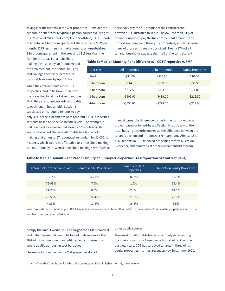savings for the tenants in the CDT properties. Consider the economic benefits for a typical 3-person household living at the Reserve at Mills Creek complex in Scottdale, GA, a suburb of Atlanta. A 2-bedroom apartment there rents for \$625 per month, \$275 less than the market rent for an unsubsidized 2-bedroom apartment in the area and \$315 less than the

personally pay the full amount of the contract rent, however. As illustrated in Table 6 below, less than 54% of tenant households pay the full contract rent amount. The proportion is higher in the equity properties, simply because many of those units are unsubsidized. Nearly 37% of all tenant households pay less than half of the contract rent.

FMR for the area. For a household making \$44,700 per year (about 60% of the area median), the annual housing cost savings effectively increase its disposable income by up to 8.5%.

While the contract rents at the CDT properties tend to be lower than both the prevailing local market rent and the FMR, they are not necessarily affordable to each tenant household. Section 8 subsidized units require tenants to pay

only 30% of their incomes toward rent, but LIHTC properties set rents based on specific income levels. For example, a unit reserved for a household earning 60% or less of AMI would have a rent that was affordable to a household making that amount. (The contract rent might be \$1,000, for instance, which would be affordable to a household making \$40,000 annually.<sup>11</sup>) Were a household making 45% of AMI to

**Table 5: Median Monthly Rent Differences – CDT Properties v. FMR** 

| Unit Size | <b>All Properties</b> | <b>Debt Properties</b> | <b>Equity Properties</b> |
|-----------|-----------------------|------------------------|--------------------------|
| Studio    | $-534.00$             | $-538.50$              | \$10.00                  |
| 1-bedroom | $-5149$               | $-5208.00$             | $-530.50$                |
| 2-bedroom | $-5217.50$            | $-5253.50$             | $-571.00$                |
| 3-bedroom | $-5407.00$            | $-5439.00$             | $-5215.50$               |
| 4-bedroom | $-5750.00$            | $-5778.00$             | $-5229.00$               |

In most cases, the difference comes in the form of either a project-based or tenant-based Section 8 subsidy, with the local housing authority makes up the difference between the tenant's portion and the contract rent amount. Almost 22% of all tenants in CDT-financed properties receive a Section 8 voucher, and hundreds of others receive subsidies from

### **Table 6: Median Tenant Rent Responsibility at Surveyed Properties (As Proportion of Contract Rent)**

| Amount of Contract Rent Paid | Tenants in All Properties | Tenants in Debt<br><b>Properties</b> | Tenants in Equity Properties |
|------------------------------|---------------------------|--------------------------------------|------------------------------|
| 100%                         | 53.5%                     | 46.5%                                | 60.9%                        |
| 76-99%                       | 7.5%                      | 1.0%                                 | 13.4%                        |
| 51-75%                       | 8.5%                      | 2.5%                                 | 14.1%                        |
| 26-50%                       | 24.4%                     | 27.9%                                | 20.7%                        |
| $< 25\%$                     | 11.8%                     | 16.5%                                | $7.5\%$                      |

Note: proportions do not add up to 100% because some respondents based their totals on the number of units in the property instead of the number of currently occupied units.

occupy the unit, it would still be charged the \$1,000 contract rent. That household would be forced to devote more than 30% of its income to rent and utilities and consequently would qualify as housing cost-burdened.

The majority of renters in the CDT properties do not

other public sources.

The quest for affordable housing routinely ranks among the chief concerns for low-income households. Over the past few years, CDT has surveyed tenants in three of its equity properties. Its most recent survey, in summer 2020,

<sup>15</sup> An "affordable" unit is one for which the tenant pays 30% of his/her monthly income in rent.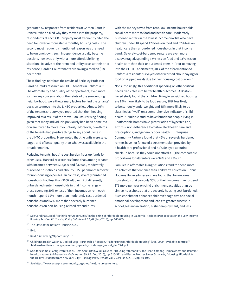generated 52 responses from residents at Garden Court in Denver. When asked why they moved into the property, respondents at each CDT property most frequently cited the need for lower or more stable monthly housing costs. The second most frequently mentioned reason was the need to be on one's own; such independence usually became possible, however, only with a more affordable living situation. Relative to their rent and utility costs at their prior residence, Garden Court tenants are saving a median \$185 per month.

These findings reinforce the results of Berkeley Professor Carolina Reid's research on LIHTC tenants in California.12 The affordability and quality of the apartment, even more so than any concerns about the safety of the surrounding neighborhood, were the primary factors behind the tenants' decision to move into the LIHTC properties. Almost 90% of the tenants she surveyed reported that their housing improved as a result of the move – an unsurprising finding given that many individuals previously had been homeless or were forced to move involuntarily. Moreover, two-thirds of the tenants had positive things to say about living in the LIHTC properties. Many noted that the units were safe, larger, and of better quality than what was available in the broader market.

Reducing tenants' housing cost burden frees up funds for other uses. Harvard researchers found that, among tenants with incomes between \$15,000 and \$30,000, moderately burdened households had about \$1,150 per month left over for non-housing expenses. In contrast, severely burdened households had less than \$600 left over. Put differently, unburdened renter households in that income range – those spending 30% or less of their incomes on rent each month – spend 19% more than moderately cost-burdened households and 52% more than severely burdened households on non-housing-related expenditures.<sup>13</sup>

With the money saved from rent, low-income households can allocate more to food and health care. Moderately burdened renters in the lowest income quartile who have children under 18 spend 17% less on food and 57% less on health care than unburdened households in that income band. Severely cost-burdened renters are even more disadvantaged, spending 37% less on food and 93% less on health care than their unburdened peers.<sup>14</sup> Prior to moving into their LIHTC apartments, 40% of the aforementioned California residents surveyed either worried about paying for food or skipped meals due to their housing cost burden.<sup>15</sup>

Not surprisingly, this additional spending on other critical needs translates into better health outcomes. A Bostonbased study found that children living in subsidized housing are 19% more likely to be food secure, 28% less likely to be seriously underweight, and 35% more likely to be classified as "well" on a comprehensive indicator of child health.<sup>16</sup> Multiple studies have found that people living in unaffordable homes have greater odds of hypertension, arthritis, non-adherence to cost-related health care and prescriptions, and generally poor health.<sup>17</sup> Enterprise Community Partners found that 45% of severely burdened renters have not followed a treatment plan provided by a health care professional and 31% delayed a routine check-up because they could not afford it. (The comparable proportions for all renters were 34% and 23%.)<sup>18</sup>

Families in affordable living situations tend to spend more on activities that enhance their children's education. Johns Hopkins University researchers found that low-income households that pay only 30% of their incomes in rent spend \$75 more per year on child enrichment activities than do similar households that are severely housing cost-burdened. Such enrichment enhances children's cognitive and socialemotional development and leads to greater success in school, less incarceration, higher employment, and less

<sup>&</sup>lt;sup>16</sup> See Carolina K. Reid, "Rethinking 'Opportunity' in the Siting of Affordable Housing in California: Resident Perspectives on the Low-Income Housing Tax Credit" *Housing Policy Debate* vol. 29, #4 (July 2019), pp. 645-669.

<sup>&</sup>lt;sup>17</sup> The State of the Nation's Housing 2020.

 $18$  Ibid.

<sup>19</sup> Reid, "Rethinking 'Opportunity' …".

<sup>&</sup>lt;sup>20</sup> Children's Health Watch & Medical-Legal Partnership / Boston, "Rx for Hunger: Affordable Housing" (Dec. 2009); available at https:// childrenshealthwatch.org/wp-content/uploads/rxforhunger\_report\_dec09-1.pdf

<sup>&</sup>lt;sup>21</sup> See, for example, Craig Evan Pollack, Beth Ann Griffin, & Julia Lynch, "Housing Affordability and Health among Homeowners and Renters," *American Journal of Preventive Medicine* vol. 39, #6 (Dec. 2010), pp. 515-521, and Rachel Meltzer & Alex Schwartz, "Housing Affordability and Health: Evidence from New York City," *Housing Policy Debate* vol. 26, #1 (Jan. 2016), pp. 80-104.

<sup>&</sup>lt;sup>22</sup> See https://www.enterprisecommunity.org/blog/health-survey-renters.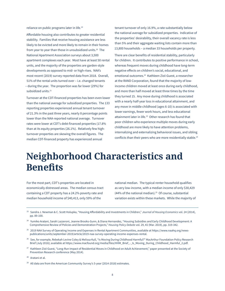reliance on public programs later in life.19

Affordable housing also contributes to greater residential stability. Families that receive housing assistance are less likely to be evicted and more likely to remain in their homes from year to year than those in unsubsidized units.<sup>20</sup> The National Apartment Association surveys about 3,500 apartment complexes each year. Most have at least 50 rental units, and the majority of the properties are garden-style developments as opposed to mid- or high-rises. NAA's most recent (2019) survey reported data from 2018. Overall, 51% of the rental units turned over – i.e. changed tenants – during the year. The proportion was far lower (29%) for subsidized units.<sup>21</sup>

Turnover at the CDT-financed properties has been even lower than the national average for subsidized properties. The 133 reporting properties experienced annual tenant turnover of 21.3% in the past three years, nearly 8 percentage points lower than the NAA-reported national average. Turnover rates were lower at CDT's debt-financed properties (17.8% than at its equity properties (26.1%). Relatively few highturnover properties are skewing the overall figures. The median CDT-financed property has experienced annual

tenant turnover of only 16.9%, a rate substantially below the national average for subsidized properties. Indicative of the properties' desirability, their overall vacancy rate is less than 5% and their aggregate waiting lists contain more than 13,800 households – a median 33 households per property.

There are clear benefits of residential stability, particularly for children. It contributes to positive performance in school, whereas frequent moves during childhood have long-term negative effects on children's social, educational, and emotional outcomes.22 Kathleen Ziol-Guest, a researcher at the RAND Corporation, found that the majority of lowincome children moved at least once during early childhood, and more than half moved at least three times by the time they turned 15. Any move during childhood is associated with a nearly half-year loss in educational attainment, and any move in middle childhood (ages 6-10) is associated with lower earnings, fewer work hours, and less educational attainment later in life.<sup>23</sup> Other research has found that poor children who experience multiple moves during early childhood are more likely to have attention problems, internalizing and externalizing behavioral issues, and sibling conflicts than their peers who are more residentially stable.<sup>24</sup>

# **Neighborhood Characteristics and Benefits**

For the most part, CDT's properties are located in economically distressed areas. The median census tract containing a CDT property has a 24.2% poverty rate and median household income of \$40,413, only 59% of the

national median. The typical renter household qualifies as very low-income, with a median income of only \$30,429 (44% of the national median).25 Of course, substantial variation exists within these markets. While the majority of

- 24 Yumiko Aratani, Sarah Lazzeroni, Jeanne Brooks-Gunn, & Diana Hernandez, "Housing Subsidies and Early Childhood Development: A Comprehensive Review of Policies and Demonstration Projects," *Housing Policy Debate* vol. 29, #2 (Mar. 2019), pp. 319-342.
- <sup>25</sup> 2019 NAA Survey of Operating Income and Expenses in Rental Apartment Communities, available at https://www.naahq.org/newspublications/units/september-2019/article/2019-naa-survey-operating-income-expenses-rental.
- <sup>26</sup> See, for example, Rebekah Levine Coley & Melissa Kull, "Is Moving During Childhood Harmful?" MacArthur Foundation Policy Research Brief (July 2016); available at https://www.macfound.org/media/files/HHM\_Brief\_-\_Is\_Moving\_During\_Childhood\_Harmful\_2.pdf.
- <sup>27</sup> Kathleen Ziol-Guest, "Long-Run Impact of Residential Moves in Childhood on Adult Achievement," paper presented at the Society of Prevention Research conference (May 2014).
- 28 Aratani et al.
- <sup>29</sup> All data are from the American Community Survey's 5-year (2014-2018) estimates.

<sup>23</sup> Sandra J. Newman & C. Scott Holupka, "Housing Affordability and Investments in Children," *Journal of Housing Economics* vol. 24 (2014), pp. 89-100.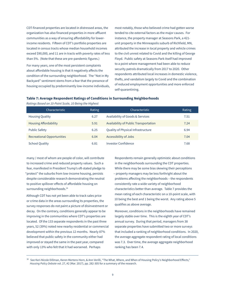CDT-financed properties are located in distressed areas, the organization has also financed properties in more affluent communities as a way of ensuring affordability for lowerincome residents. Fifteen of CDT's portfolio properties are located in census tracts whose median household incomes exceed \$90,000, and 11 are in tracts with poverty rates of less than 5%. (Note that these are pre-pandemic figures.)

For many years, one of the most persistent complaints about affordable housing is that it negatively affects the condition of the surrounding neighborhood. The "Not in My Backyard" sentiment stems from a fear that the presence of housing occupied by predominantly low-income individuals, most notably, those who believed crime had gotten worse tended to cite external factors as the major causes. For instance, the property manager at Seasons Park, a 421 unit property in the Minneapolis suburb of Richfield, MN, attributed the increase in local property and vehicle crimes to the civil unrest related to Covid and the killing of George Floyd. Public safety at Seasons Park itself had improved to a point where management had been able to reduce security patrols dramatically from 2017 to 2020. Other respondents attributed local increases in domestic violence, thefts, and vandalism largely to Covid and the combination of reduced employment opportunities and more enforced self-quarantining.

#### **Table 7: Average Respondent Ratings of Conditions in Surrounding Neighborhoods**

| Characteristic                    | Rating | Characteristic                        | Rating |
|-----------------------------------|--------|---------------------------------------|--------|
| <b>Housing Quality</b>            | 6.27   | Availability of Goods & Services      | 7.51   |
| <b>Housing Affordability</b>      | 5.91   | Availability of Public Transportation | 7.24   |
| <b>Public Safety</b>              | 6.25   | Quality of Physical Infrastructure    | 6.94   |
| <b>Recreational Opportunities</b> | 6.04   | Accessibility of Jobs                 | 7.04   |
| <b>School Quality</b>             | 6.81   | <b>Investor Confidence</b>            | 7.68   |

*Ratings Based on 10-Point Scale, 10 Being the Highest*

many / most of whom are people of color, will contribute to increased crime and reduced property values. Such a fear, manifested in President Trump's oft-stated pledge to "protect" the suburbs from low-income housing, persists despite considerable research demonstrating the neutral to positive spillover effects of affordable housing on surrounding neighborhoods.<sup>26</sup>

Although CDT has not yet been able to track sales price or crime data in the areas surrounding its properties, the survey responses do not paint a picture of disinvestment or decay. On the contrary, conditions generally appear to be improving in the communities where CDT's properties are located. Of the 133 separate respondents in the past three years, 52 (39%) noted new nearby residential or commercial development within the previous 12 months. Nearly 87% believed that public safety in the community either had improved or stayed the same in the past year, compared with only 13% who felt that it had worsened. Perhaps

Respondents remain generally optimistic about conditions in the neighborhoods surrounding the CDT properties. While there may be some bias skewing their perceptions

– property managers may be less forthright about the problems affecting the neighborhoods – the respondents consistently rate a wide variety of neighborhood characteristics better than average. Table 7 provides the mean rating of each characteristic on a 10-point scale, with 10 being the best and 1 being the worst. Any rating above 5 qualifies as above average.

Moreover, conditions in the neighborhoods have remained largely stable over time. This is the eighth year of CDT's annual survey. During that period, managers from 38 separate properties have submitted two or more surveys that included a ranking of neighborhood conditions. In 2020, the average aggregate respondent rating of local conditions was 7.3. Over time, the average aggregate neighborhood ranking has been 7.4.

<sup>30</sup> See Keri-Nicole Dillman, Keren Mertens Horn, & Ann Verilli, "The What, Where, and When of Housing Policy's Neighborhood Effects," *Housing Policy Debate* vol. 27, #2 (Mar. 2017), pp. 282-305 for a summary of the research.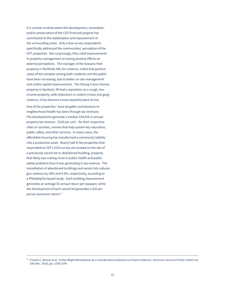It is unclear to what extent the development, renovation, and/or preservation of the CDT-financed projects has contributed to the stabilization and improvement of the surrounding areas. Only a few survey respondents specifically addressed the communities' perception of the CDT properties. Not surprisingly, they cited improvements in property management as having positive effects on external perceptions. The manager of the Seasons Park property in Richfield, MN, for instance, noted that positive views of the complex among both residents and the public have been increasing due to better on-site management and visible capital improvements. The Strong Future Homes property in Ypsilanti, MI had a reputation as a rough, lowincome property; with reductions in violent crimes and gang violence, it has become a more peaceful place to live.

One of the properties' more tangible contributions to neighborhood health has been through tax revenues. The developments generate a median \$34,438 in annual property tax revenue - \$533 per unit – for their respective cities or counties, monies that help sustain key education, public safety, and other services. In many cases, the affordable housing has transformed a community liability into a productive asset. Nearly half of the properties that responded to CDT's 2019 survey are located on the site of a previously vacant lot or abandoned building, property that likely was costing more in public health and public safety problems than it was generating in tax revenue. The remediation of abandoned buildings and vacant lots reduces gun violence by 39% and 4.6%, respectively, according to a Philadelphia-based study. Each building improvement generates an average \$5 annual return per taxpayer, while the development of each vacant lot generates a \$26 per person economic return.27

<sup>31</sup> Charles C. Branas et al, "Urban Blight Remediation as a Cost-Beneficial Solution to Firearm Violence," *American Journal of Public Health* vol. 106 (Dec. 2016), pp. 2158-2164.